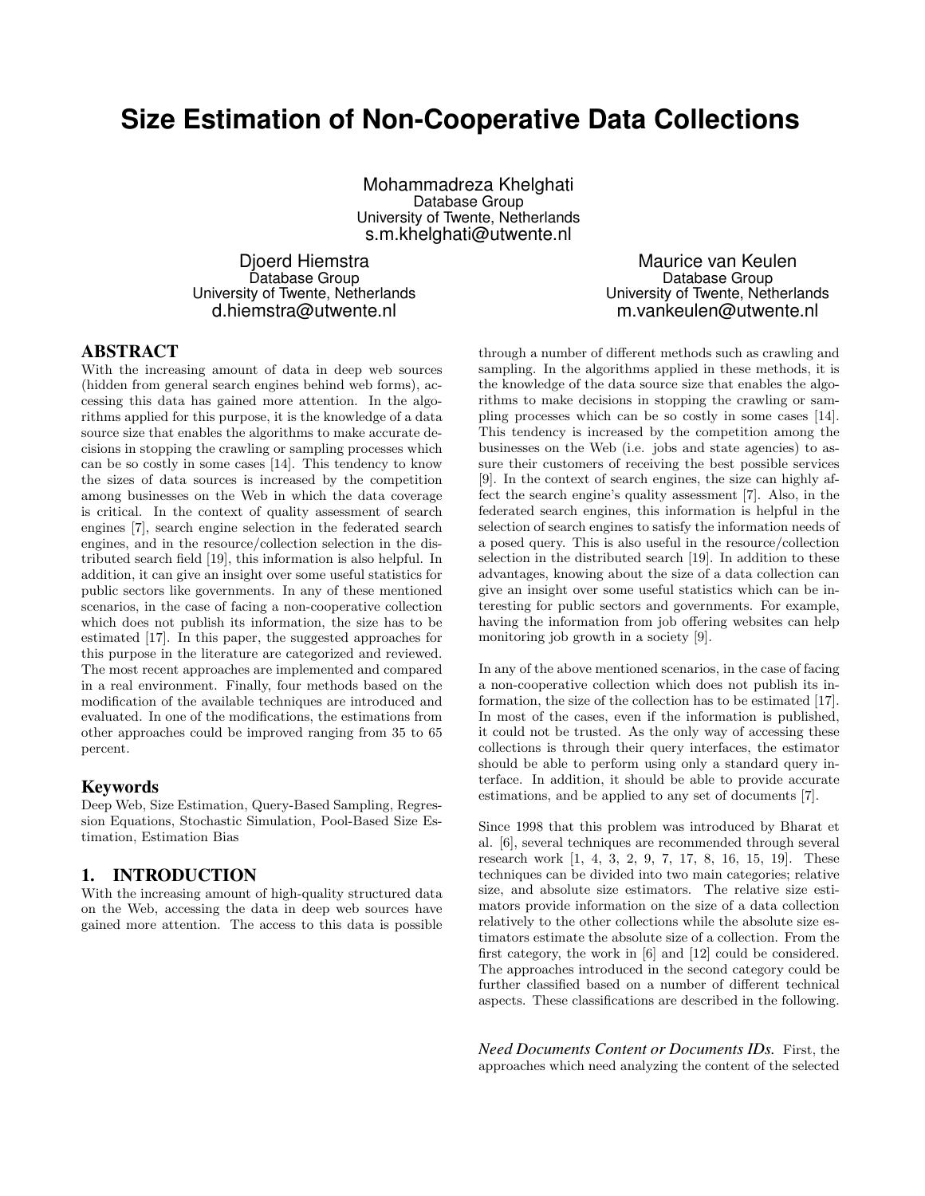# **Size Estimation of Non-Cooperative Data Collections**

Mohammadreza Khelghati Database Group University of Twente, Netherlands s.m.khelghati@utwente.nl

Djoerd Hiemstra Database Group University of Twente, Netherlands d.hiemstra@utwente.nl

Maurice van Keulen Database Group University of Twente, Netherlands m.vankeulen@utwente.nl

### ABSTRACT

With the increasing amount of data in deep web sources (hidden from general search engines behind web forms), accessing this data has gained more attention. In the algorithms applied for this purpose, it is the knowledge of a data source size that enables the algorithms to make accurate decisions in stopping the crawling or sampling processes which can be so costly in some cases [14]. This tendency to know the sizes of data sources is increased by the competition among businesses on the Web in which the data coverage is critical. In the context of quality assessment of search engines [7], search engine selection in the federated search engines, and in the resource/collection selection in the distributed search field [19], this information is also helpful. In addition, it can give an insight over some useful statistics for public sectors like governments. In any of these mentioned scenarios, in the case of facing a non-cooperative collection which does not publish its information, the size has to be estimated [17]. In this paper, the suggested approaches for this purpose in the literature are categorized and reviewed. The most recent approaches are implemented and compared in a real environment. Finally, four methods based on the modification of the available techniques are introduced and evaluated. In one of the modifications, the estimations from other approaches could be improved ranging from 35 to 65 percent.

#### Keywords

Deep Web, Size Estimation, Query-Based Sampling, Regression Equations, Stochastic Simulation, Pool-Based Size Estimation, Estimation Bias

#### 1. INTRODUCTION

With the increasing amount of high-quality structured data on the Web, accessing the data in deep web sources have gained more attention. The access to this data is possible through a number of different methods such as crawling and sampling. In the algorithms applied in these methods, it is the knowledge of the data source size that enables the algorithms to make decisions in stopping the crawling or sampling processes which can be so costly in some cases [14]. This tendency is increased by the competition among the businesses on the Web (i.e. jobs and state agencies) to assure their customers of receiving the best possible services [9]. In the context of search engines, the size can highly affect the search engine's quality assessment [7]. Also, in the federated search engines, this information is helpful in the selection of search engines to satisfy the information needs of a posed query. This is also useful in the resource/collection selection in the distributed search [19]. In addition to these advantages, knowing about the size of a data collection can give an insight over some useful statistics which can be interesting for public sectors and governments. For example, having the information from job offering websites can help monitoring job growth in a society [9].

In any of the above mentioned scenarios, in the case of facing a non-cooperative collection which does not publish its information, the size of the collection has to be estimated [17]. In most of the cases, even if the information is published, it could not be trusted. As the only way of accessing these collections is through their query interfaces, the estimator should be able to perform using only a standard query interface. In addition, it should be able to provide accurate estimations, and be applied to any set of documents [7].

Since 1998 that this problem was introduced by Bharat et al. [6], several techniques are recommended through several research work [1, 4, 3, 2, 9, 7, 17, 8, 16, 15, 19]. These techniques can be divided into two main categories; relative size, and absolute size estimators. The relative size estimators provide information on the size of a data collection relatively to the other collections while the absolute size estimators estimate the absolute size of a collection. From the first category, the work in [6] and [12] could be considered. The approaches introduced in the second category could be further classified based on a number of different technical aspects. These classifications are described in the following.

*Need Documents Content or Documents IDs.* First, the approaches which need analyzing the content of the selected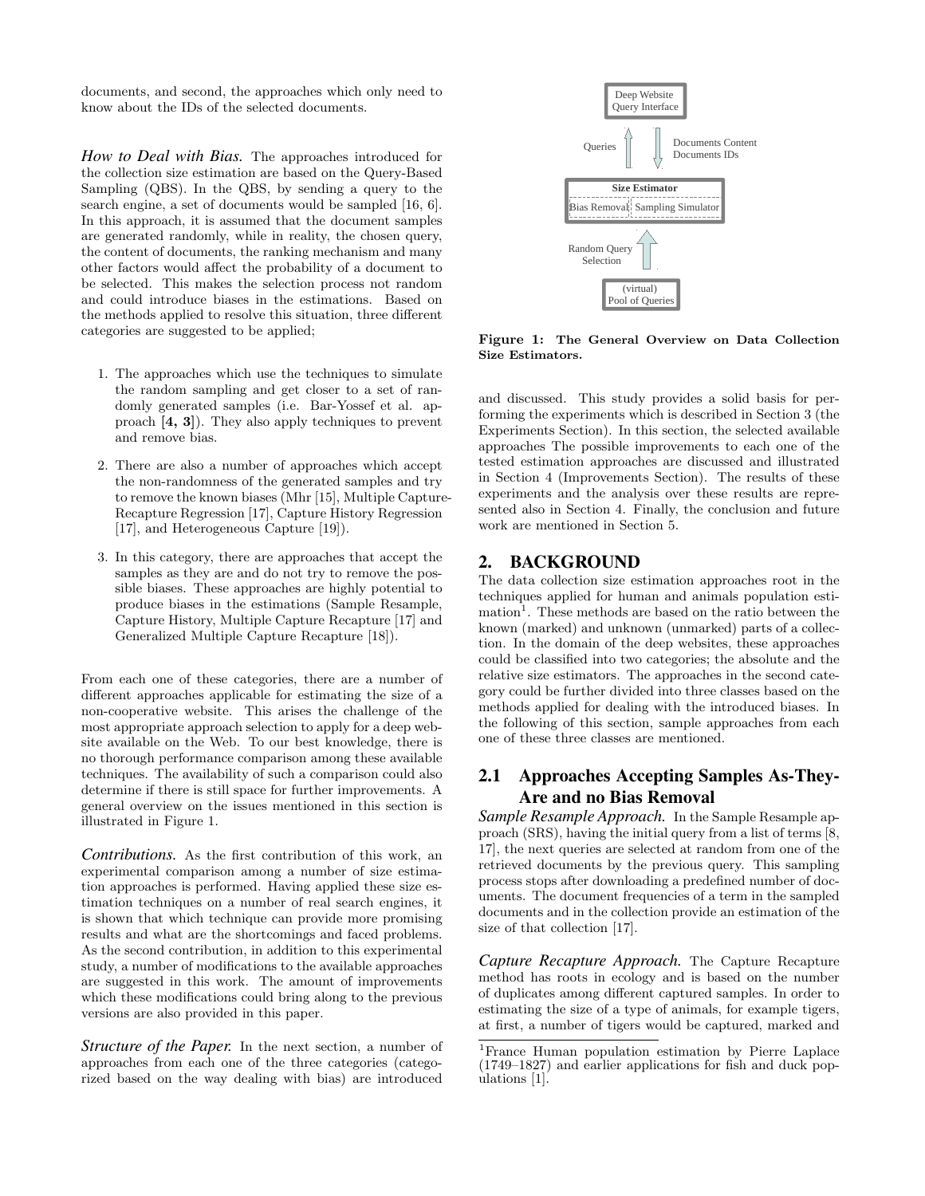documents, and second, the approaches which only need to know about the IDs of the selected documents.

*How to Deal with Bias.* The approaches introduced for the collection size estimation are based on the Query-Based Sampling (QBS). In the QBS, by sending a query to the search engine, a set of documents would be sampled [16, 6]. In this approach, it is assumed that the document samples are generated randomly, while in reality, the chosen query, the content of documents, the ranking mechanism and many other factors would affect the probability of a document to be selected. This makes the selection process not random and could introduce biases in the estimations. Based on the methods applied to resolve this situation, three different categories are suggested to be applied;

- 1. The approaches which use the techniques to simulate the random sampling and get closer to a set of randomly generated samples (i.e. Bar-Yossef et al. approach [4, 3]). They also apply techniques to prevent and remove bias.
- 2. There are also a number of approaches which accept the non-randomness of the generated samples and try to remove the known biases (Mhr [15], Multiple Capture-Recapture Regression [17], Capture History Regression [17], and Heterogeneous Capture [19]).
- 3. In this category, there are approaches that accept the samples as they are and do not try to remove the possible biases. These approaches are highly potential to produce biases in the estimations (Sample Resample, Capture History, Multiple Capture Recapture [17] and Generalized Multiple Capture Recapture [18]).

From each one of these categories, there are a number of different approaches applicable for estimating the size of a non-cooperative website. This arises the challenge of the most appropriate approach selection to apply for a deep website available on the Web. To our best knowledge, there is no thorough performance comparison among these available techniques. The availability of such a comparison could also determine if there is still space for further improvements. A general overview on the issues mentioned in this section is illustrated in Figure 1.

*Contributions.* As the first contribution of this work, an experimental comparison among a number of size estimation approaches is performed. Having applied these size estimation techniques on a number of real search engines, it is shown that which technique can provide more promising results and what are the shortcomings and faced problems. As the second contribution, in addition to this experimental study, a number of modifications to the available approaches are suggested in this work. The amount of improvements which these modifications could bring along to the previous versions are also provided in this paper.

*Structure of the Paper.* In the next section, a number of approaches from each one of the three categories (categorized based on the way dealing with bias) are introduced



Figure 1: The General Overview on Data Collection Size Estimators.

and discussed. This study provides a solid basis for performing the experiments which is described in Section 3 (the Experiments Section). In this section, the selected available approaches The possible improvements to each one of the tested estimation approaches are discussed and illustrated in Section 4 (Improvements Section). The results of these experiments and the analysis over these results are represented also in Section 4. Finally, the conclusion and future work are mentioned in Section 5.

#### 2. BACKGROUND

The data collection size estimation approaches root in the techniques applied for human and animals population estimation<sup>1</sup>. These methods are based on the ratio between the known (marked) and unknown (unmarked) parts of a collection. In the domain of the deep websites, these approaches could be classified into two categories; the absolute and the relative size estimators. The approaches in the second category could be further divided into three classes based on the methods applied for dealing with the introduced biases. In the following of this section, sample approaches from each one of these three classes are mentioned.

# 2.1 Approaches Accepting Samples As-They-Are and no Bias Removal

*Sample Resample Approach.* In the Sample Resample approach (SRS), having the initial query from a list of terms [8, 17], the next queries are selected at random from one of the retrieved documents by the previous query. This sampling process stops after downloading a predefined number of documents. The document frequencies of a term in the sampled documents and in the collection provide an estimation of the size of that collection [17].

*Capture Recapture Approach.* The Capture Recapture method has roots in ecology and is based on the number of duplicates among different captured samples. In order to estimating the size of a type of animals, for example tigers, at first, a number of tigers would be captured, marked and

<sup>1</sup>France Human population estimation by Pierre Laplace (1749–1827) and earlier applications for fish and duck populations [1].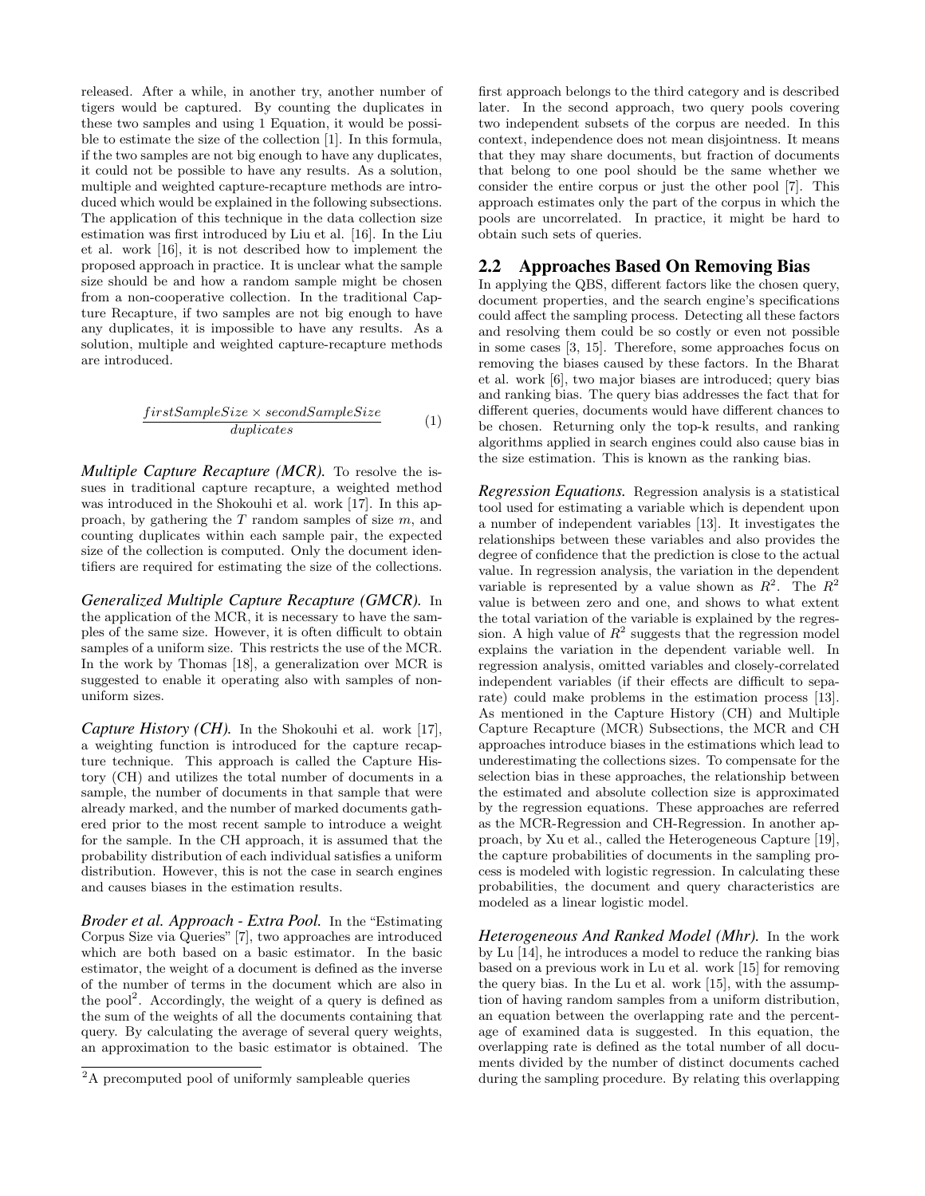released. After a while, in another try, another number of tigers would be captured. By counting the duplicates in these two samples and using 1 Equation, it would be possible to estimate the size of the collection [1]. In this formula, if the two samples are not big enough to have any duplicates, it could not be possible to have any results. As a solution, multiple and weighted capture-recapture methods are introduced which would be explained in the following subsections. The application of this technique in the data collection size estimation was first introduced by Liu et al. [16]. In the Liu et al. work [16], it is not described how to implement the proposed approach in practice. It is unclear what the sample size should be and how a random sample might be chosen from a non-cooperative collection. In the traditional Capture Recapture, if two samples are not big enough to have any duplicates, it is impossible to have any results. As a solution, multiple and weighted capture-recapture methods are introduced.

$$
\frac{firstSampleSize \times secondSampleSize}{duplicates} \tag{1}
$$

*Multiple Capture Recapture (MCR).* To resolve the issues in traditional capture recapture, a weighted method was introduced in the Shokouhi et al. work [17]. In this approach, by gathering the  $T$  random samples of size  $m$ , and counting duplicates within each sample pair, the expected size of the collection is computed. Only the document identifiers are required for estimating the size of the collections.

*Generalized Multiple Capture Recapture (GMCR).* In the application of the MCR, it is necessary to have the samples of the same size. However, it is often difficult to obtain samples of a uniform size. This restricts the use of the MCR. In the work by Thomas [18], a generalization over MCR is suggested to enable it operating also with samples of nonuniform sizes.

*Capture History (CH).* In the Shokouhi et al. work [17], a weighting function is introduced for the capture recapture technique. This approach is called the Capture History (CH) and utilizes the total number of documents in a sample, the number of documents in that sample that were already marked, and the number of marked documents gathered prior to the most recent sample to introduce a weight for the sample. In the CH approach, it is assumed that the probability distribution of each individual satisfies a uniform distribution. However, this is not the case in search engines and causes biases in the estimation results.

*Broder et al. Approach - Extra Pool.* In the "Estimating Corpus Size via Queries" [7], two approaches are introduced which are both based on a basic estimator. In the basic estimator, the weight of a document is defined as the inverse of the number of terms in the document which are also in the pool<sup>2</sup>. Accordingly, the weight of a query is defined as the sum of the weights of all the documents containing that query. By calculating the average of several query weights, an approximation to the basic estimator is obtained. The first approach belongs to the third category and is described later. In the second approach, two query pools covering two independent subsets of the corpus are needed. In this context, independence does not mean disjointness. It means that they may share documents, but fraction of documents that belong to one pool should be the same whether we consider the entire corpus or just the other pool [7]. This approach estimates only the part of the corpus in which the pools are uncorrelated. In practice, it might be hard to obtain such sets of queries.

#### 2.2 Approaches Based On Removing Bias

In applying the QBS, different factors like the chosen query, document properties, and the search engine's specifications could affect the sampling process. Detecting all these factors and resolving them could be so costly or even not possible in some cases [3, 15]. Therefore, some approaches focus on removing the biases caused by these factors. In the Bharat et al. work [6], two major biases are introduced; query bias and ranking bias. The query bias addresses the fact that for different queries, documents would have different chances to be chosen. Returning only the top-k results, and ranking algorithms applied in search engines could also cause bias in the size estimation. This is known as the ranking bias.

*Regression Equations.* Regression analysis is a statistical tool used for estimating a variable which is dependent upon a number of independent variables [13]. It investigates the relationships between these variables and also provides the degree of confidence that the prediction is close to the actual value. In regression analysis, the variation in the dependent variable is represented by a value shown as  $R^2$ . The  $R^2$ value is between zero and one, and shows to what extent the total variation of the variable is explained by the regression. A high value of  $R^2$  suggests that the regression model explains the variation in the dependent variable well. In regression analysis, omitted variables and closely-correlated independent variables (if their effects are difficult to separate) could make problems in the estimation process [13]. As mentioned in the Capture History (CH) and Multiple Capture Recapture (MCR) Subsections, the MCR and CH approaches introduce biases in the estimations which lead to underestimating the collections sizes. To compensate for the selection bias in these approaches, the relationship between the estimated and absolute collection size is approximated by the regression equations. These approaches are referred as the MCR-Regression and CH-Regression. In another approach, by Xu et al., called the Heterogeneous Capture [19], the capture probabilities of documents in the sampling process is modeled with logistic regression. In calculating these probabilities, the document and query characteristics are modeled as a linear logistic model.

*Heterogeneous And Ranked Model (Mhr).* In the work by Lu [14], he introduces a model to reduce the ranking bias based on a previous work in Lu et al. work [15] for removing the query bias. In the Lu et al. work [15], with the assumption of having random samples from a uniform distribution, an equation between the overlapping rate and the percentage of examined data is suggested. In this equation, the overlapping rate is defined as the total number of all documents divided by the number of distinct documents cached during the sampling procedure. By relating this overlapping

<sup>&</sup>lt;sup>2</sup>A precomputed pool of uniformly sampleable queries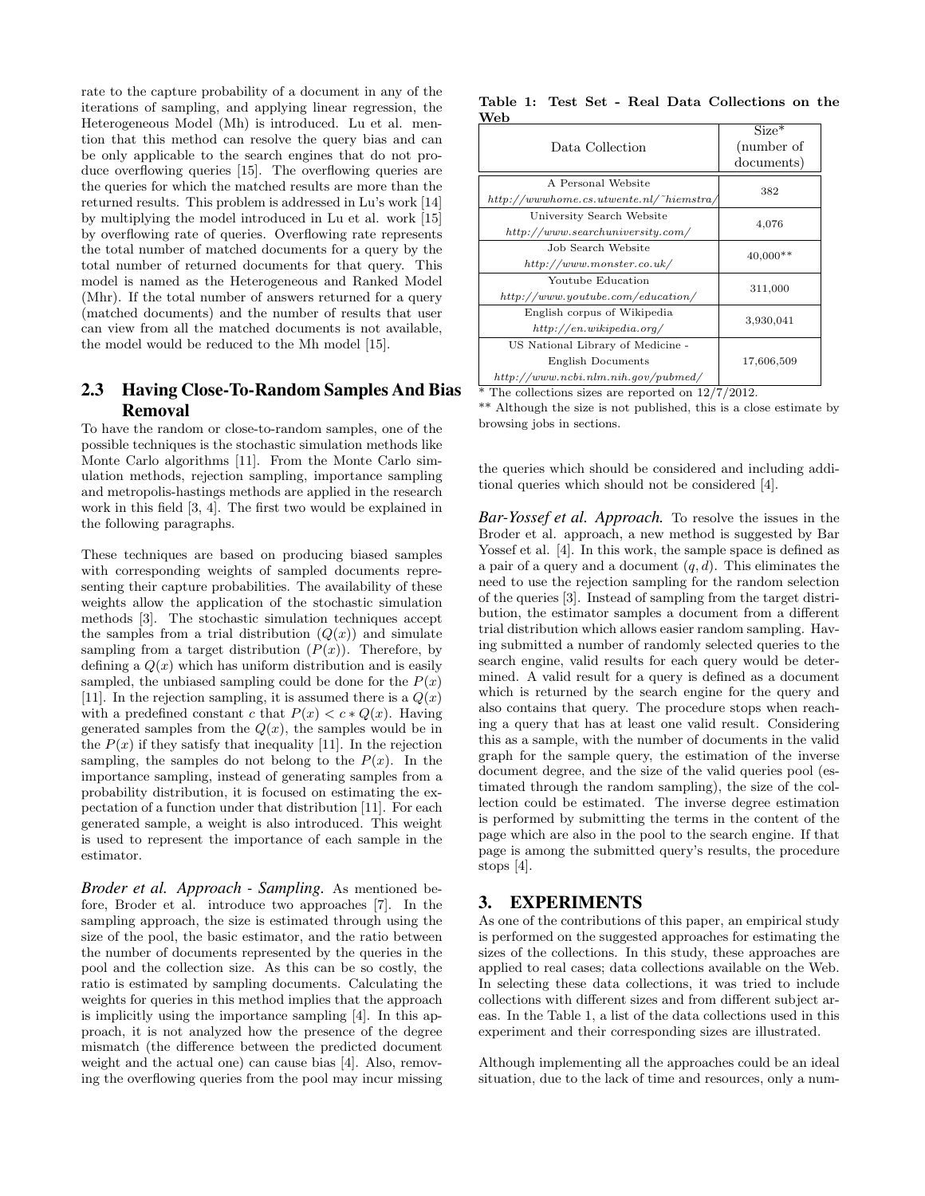rate to the capture probability of a document in any of the iterations of sampling, and applying linear regression, the Heterogeneous Model (Mh) is introduced. Lu et al. mention that this method can resolve the query bias and can be only applicable to the search engines that do not produce overflowing queries [15]. The overflowing queries are the queries for which the matched results are more than the returned results. This problem is addressed in Lu's work [14] by multiplying the model introduced in Lu et al. work [15] by overflowing rate of queries. Overflowing rate represents the total number of matched documents for a query by the total number of returned documents for that query. This model is named as the Heterogeneous and Ranked Model (Mhr). If the total number of answers returned for a query (matched documents) and the number of results that user can view from all the matched documents is not available, the model would be reduced to the Mh model [15].

# 2.3 Having Close-To-Random Samples And Bias Removal

To have the random or close-to-random samples, one of the possible techniques is the stochastic simulation methods like Monte Carlo algorithms [11]. From the Monte Carlo simulation methods, rejection sampling, importance sampling and metropolis-hastings methods are applied in the research work in this field [3, 4]. The first two would be explained in the following paragraphs.

These techniques are based on producing biased samples with corresponding weights of sampled documents representing their capture probabilities. The availability of these weights allow the application of the stochastic simulation methods [3]. The stochastic simulation techniques accept the samples from a trial distribution  $(Q(x))$  and simulate sampling from a target distribution  $(P(x))$ . Therefore, by defining a  $Q(x)$  which has uniform distribution and is easily sampled, the unbiased sampling could be done for the  $P(x)$ [11]. In the rejection sampling, it is assumed there is a  $Q(x)$ with a predefined constant c that  $P(x) < c * Q(x)$ . Having generated samples from the  $Q(x)$ , the samples would be in the  $P(x)$  if they satisfy that inequality [11]. In the rejection sampling, the samples do not belong to the  $P(x)$ . In the importance sampling, instead of generating samples from a probability distribution, it is focused on estimating the expectation of a function under that distribution [11]. For each generated sample, a weight is also introduced. This weight is used to represent the importance of each sample in the estimator.

*Broder et al. Approach - Sampling.* As mentioned before, Broder et al. introduce two approaches [7]. In the sampling approach, the size is estimated through using the size of the pool, the basic estimator, and the ratio between the number of documents represented by the queries in the pool and the collection size. As this can be so costly, the ratio is estimated by sampling documents. Calculating the weights for queries in this method implies that the approach is implicitly using the importance sampling [4]. In this approach, it is not analyzed how the presence of the degree mismatch (the difference between the predicted document weight and the actual one) can cause bias [4]. Also, removing the overflowing queries from the pool may incur missing

|     |  |  | Table 1: Test Set - Real Data Collections on the |  |
|-----|--|--|--------------------------------------------------|--|
| Web |  |  |                                                  |  |

| vve.                                                                                                       |                                     |  |
|------------------------------------------------------------------------------------------------------------|-------------------------------------|--|
| Data Collection                                                                                            | $Size*$<br>(number of<br>documents) |  |
| A Personal Website<br>$http://wwwhome.cs.utwente.nl/~hiemstra/$                                            | 382                                 |  |
| University Search Website<br>http://www.searchuniversity.com/                                              | 4,076                               |  |
| Job Search Website<br>http://www.monster.co.uk/                                                            | $40,000**$                          |  |
| Youtube Education<br>http://www.youtube.com/education/                                                     | 311,000                             |  |
| English corpus of Wikipedia<br>http://en.wikipedia.org/                                                    | 3,930,041                           |  |
| US National Library of Medicine -<br><b>English Documents</b><br>$http://www.ncbi.nlm.nih.gov/public.edu/$ | 17,606,509                          |  |

\* The collections sizes are reported on 12/7/2012.

\*\* Although the size is not published, this is a close estimate by browsing jobs in sections.

the queries which should be considered and including additional queries which should not be considered [4].

*Bar-Yossef et al. Approach.* To resolve the issues in the Broder et al. approach, a new method is suggested by Bar Yossef et al. [4]. In this work, the sample space is defined as a pair of a query and a document  $(q, d)$ . This eliminates the need to use the rejection sampling for the random selection of the queries [3]. Instead of sampling from the target distribution, the estimator samples a document from a different trial distribution which allows easier random sampling. Having submitted a number of randomly selected queries to the search engine, valid results for each query would be determined. A valid result for a query is defined as a document which is returned by the search engine for the query and also contains that query. The procedure stops when reaching a query that has at least one valid result. Considering this as a sample, with the number of documents in the valid graph for the sample query, the estimation of the inverse document degree, and the size of the valid queries pool (estimated through the random sampling), the size of the collection could be estimated. The inverse degree estimation is performed by submitting the terms in the content of the page which are also in the pool to the search engine. If that page is among the submitted query's results, the procedure stops [4].

## 3. EXPERIMENTS

As one of the contributions of this paper, an empirical study is performed on the suggested approaches for estimating the sizes of the collections. In this study, these approaches are applied to real cases; data collections available on the Web. In selecting these data collections, it was tried to include collections with different sizes and from different subject areas. In the Table 1, a list of the data collections used in this experiment and their corresponding sizes are illustrated.

Although implementing all the approaches could be an ideal situation, due to the lack of time and resources, only a num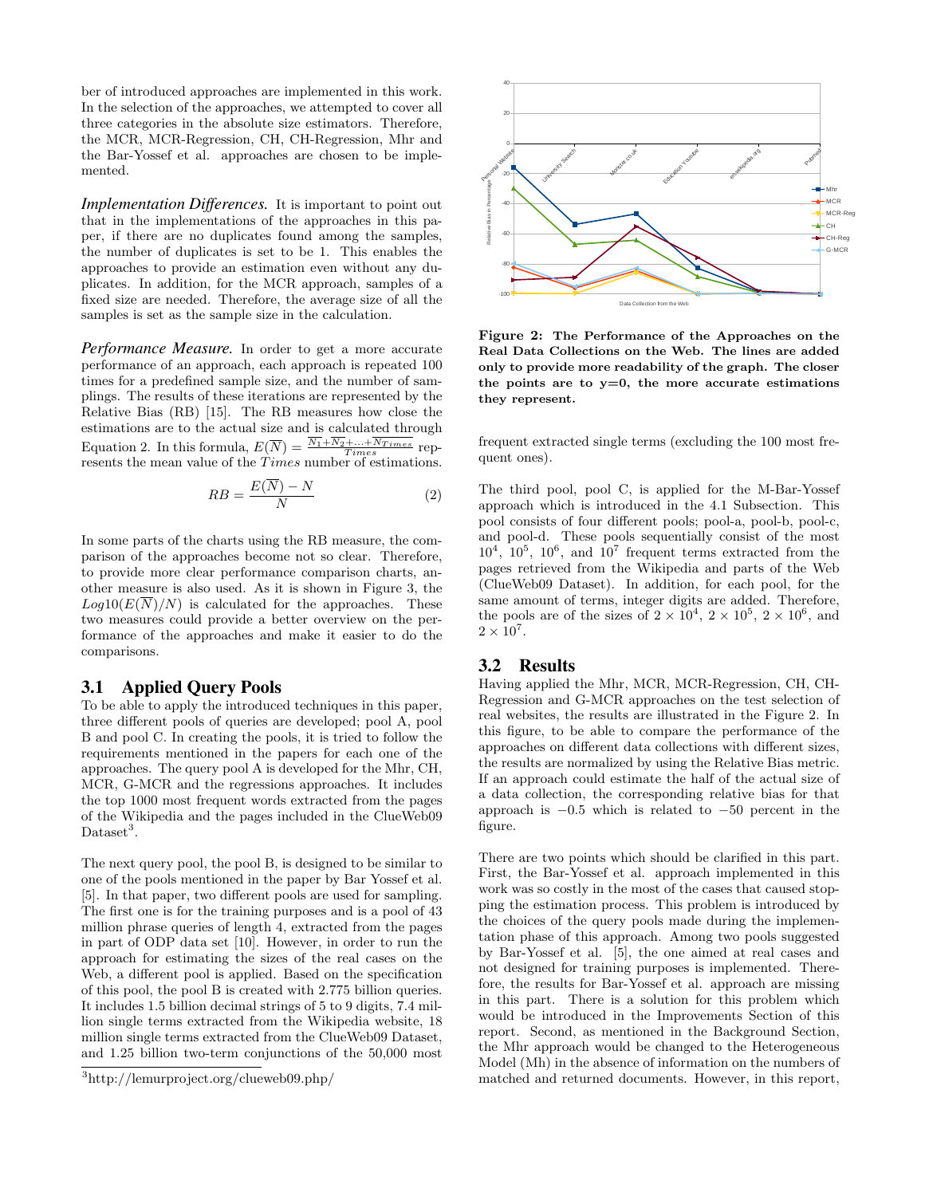ber of introduced approaches are implemented in this work. In the selection of the approaches, we attempted to cover all three categories in the absolute size estimators. Therefore, the MCR, MCR-Regression, CH, CH-Regression, Mhr and the Bar-Yossef et al. approaches are chosen to be implemented.

*Implementation Differences.* It is important to point out that in the implementations of the approaches in this paper, if there are no duplicates found among the samples, the number of duplicates is set to be 1. This enables the approaches to provide an estimation even without any duplicates. In addition, for the MCR approach, samples of a fixed size are needed. Therefore, the average size of all the samples is set as the sample size in the calculation.

*Performance Measure.* In order to get a more accurate performance of an approach, each approach is repeated 100 times for a predefined sample size, and the number of samplings. The results of these iterations are represented by the Relative Bias (RB) [15]. The RB measures how close the estimations are to the actual size and is calculated through Equation 2. In this formula,  $E(\overline{N}) = \frac{N_1 + N_2 + \dots + N_{Times}}{Times}$  represents the mean value of the Times number of estimations.

$$
RB = \frac{E(\overline{N}) - N}{N} \tag{2}
$$

In some parts of the charts using the RB measure, the comparison of the approaches become not so clear. Therefore, to provide more clear performance comparison charts, another measure is also used. As it is shown in Figure 3, the  $Log10(E(\overline{N})/N)$  is calculated for the approaches. These two measures could provide a better overview on the performance of the approaches and make it easier to do the comparisons.

#### 3.1 Applied Query Pools

To be able to apply the introduced techniques in this paper, three different pools of queries are developed; pool A, pool B and pool C. In creating the pools, it is tried to follow the requirements mentioned in the papers for each one of the approaches. The query pool A is developed for the Mhr, CH, MCR, G-MCR and the regressions approaches. It includes the top 1000 most frequent words extracted from the pages of the Wikipedia and the pages included in the ClueWeb09 Dataset<sup>3</sup>.

The next query pool, the pool B, is designed to be similar to one of the pools mentioned in the paper by Bar Yossef et al. [5]. In that paper, two different pools are used for sampling. The first one is for the training purposes and is a pool of 43 million phrase queries of length 4, extracted from the pages in part of ODP data set [10]. However, in order to run the approach for estimating the sizes of the real cases on the Web, a different pool is applied. Based on the specification of this pool, the pool B is created with 2.775 billion queries. It includes 1.5 billion decimal strings of 5 to 9 digits, 7.4 million single terms extracted from the Wikipedia website, 18 million single terms extracted from the ClueWeb09 Dataset, and 1.25 billion two-term conjunctions of the 50,000 most



Figure 2: The Performance of the Approaches on the Real Data Collections on the Web. The lines are added only to provide more readability of the graph. The closer the points are to  $y=0$ , the more accurate estimations they represent.

frequent extracted single terms (excluding the 100 most frequent ones).

same amount of terms, integer digits are added. Therefore, The third pool, pool C, is applied for the M-Bar-Yossef approach which is introduced in the 4.1 Subsection. This pool consists of four different pools; pool-a, pool-b, pool-c, and pool-d. These pools sequentially consist of the most  $10^4$ ,  $10^5$ ,  $10^6$ , and  $10^7$  frequent terms extracted from the pages retrieved from the Wikipedia and parts of the Web (ClueWeb09 Dataset). In addition, for each pool, for the the pools are of the sizes of  $2 \times 10^4$ ,  $2 \times 10^5$ ,  $2 \times 10^6$ , and  $2 \times 10^{7}$ .

#### 3.2 Results

Having applied the Mhr, MCR, MCR-Regression, CH, CH-Regression and G-MCR approaches on the test selection of real websites, the results are illustrated in the Figure 2. In this figure, to be able to compare the performance of the approaches on different data collections with different sizes, the results are normalized by using the Relative Bias metric. If an approach could estimate the half of the actual size of a data collection, the corresponding relative bias for that approach is  $-0.5$  which is related to  $-50$  percent in the figure.

There are two points which should be clarified in this part. First, the Bar-Yossef et al. approach implemented in this work was so costly in the most of the cases that caused stopping the estimation process. This problem is introduced by the choices of the query pools made during the implementation phase of this approach. Among two pools suggested by Bar-Yossef et al. [5], the one aimed at real cases and not designed for training purposes is implemented. Therefore, the results for Bar-Yossef et al. approach are missing in this part. There is a solution for this problem which would be introduced in the Improvements Section of this report. Second, as mentioned in the Background Section, the Mhr approach would be changed to the Heterogeneous Model (Mh) in the absence of information on the numbers of matched and returned documents. However, in this report,

<sup>3</sup>http://lemurproject.org/clueweb09.php/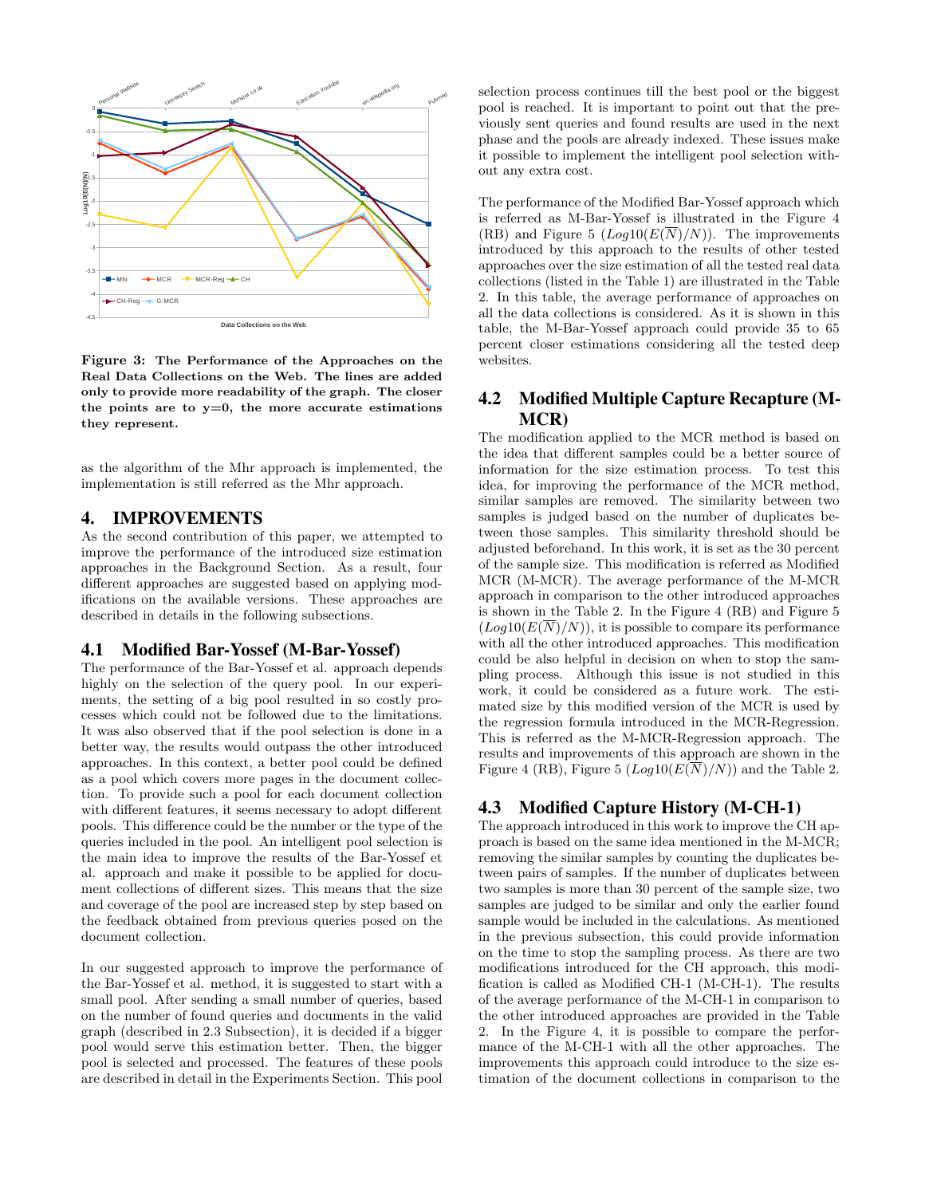

Figure 3: The Performance of the Approaches on the Real Data Collections on the Web. The lines are added only to provide more readability of the graph. The closer the points are to  $y=0$ , the more accurate estimations they represent.

as the algorithm of the Mhr approach is implemented, the implementation is still referred as the Mhr approach.

### 4. IMPROVEMENTS

ifications on the available versions. These approaches are As the second contribution of this paper, we attempted to improve the performance of the introduced size estimation approaches in the Background Section. As a result, four different approaches are suggested based on applying moddescribed in details in the following subsections.

#### 4.1 Modified Bar-Yossef (M-Bar-Yossef)

The performance of the Bar-Yossef et al. approach depends highly on the selection of the query pool. In our experiments, the setting of a big pool resulted in so costly processes which could not be followed due to the limitations. It was also observed that if the pool selection is done in a better way, the results would outpass the other introduced approaches. In this context, a better pool could be defined as a pool which covers more pages in the document collection. To provide such a pool for each document collection with different features, it seems necessary to adopt different pools. This difference could be the number or the type of the queries included in the pool. An intelligent pool selection is the main idea to improve the results of the Bar-Yossef et al. approach and make it possible to be applied for document collections of different sizes. This means that the size and coverage of the pool are increased step by step based on the feedback obtained from previous queries posed on the document collection.

In our suggested approach to improve the performance of the Bar-Yossef et al. method, it is suggested to start with a small pool. After sending a small number of queries, based on the number of found queries and documents in the valid graph (described in 2.3 Subsection), it is decided if a bigger pool would serve this estimation better. Then, the bigger pool is selected and processed. The features of these pools are described in detail in the Experiments Section. This pool selection process continues till the best pool or the biggest selection process continues till the best pool or the biggest<br>pool is reached. It is important to point out that the pre-<br>viously sent queries and found results are used in the next viously sent queries and found results are used in the next phase and the pools are already indexed. These issues make it possible to implement the intelligent pool selection without any extra cost.

The performance of the Modified Bar-Yossef approach which is referred as M-Bar-Yossef is illustrated in the Figure 4 (RB) and Figure 5  $(Log10(E(N)/N))$ . The improvements introduced by this approach to the results of other tested approaches over the size estimation of all the tested real data collections (listed in the Table 1) are illustrated in the Table 2. In this table, the average performance of approaches on all the data collections is considered. As it is shown in this table, the M-Bar-Yossef approach could provide 35 to 65 percent closer estimations considering all the tested deep websites.

## 4.2 Modified Multiple Capture Recapture (M-MCR)

The modification applied to the MCR method is based on the idea that different samples could be a better source of information for the size estimation process. To test this idea, for improving the performance of the MCR method, similar samples are removed. The similarity between two samples is judged based on the number of duplicates between those samples. This similarity threshold should be adjusted beforehand. In this work, it is set as the 30 percent of the sample size. This modification is referred as Modified MCR (M-MCR). The average performance of the M-MCR approach in comparison to the other introduced approaches is shown in the Table 2. In the Figure 4 (RB) and Figure 5  $(Log10(E(\overline{N})/N))$ , it is possible to compare its performance with all the other introduced approaches. This modification could be also helpful in decision on when to stop the sampling process. Although this issue is not studied in this work, it could be considered as a future work. The estimated size by this modified version of the MCR is used by the regression formula introduced in the MCR-Regression. This is referred as the M-MCR-Regression approach. The results and improvements of this approach are shown in the Figure 4 (RB), Figure 5  $(Log10(E(\overline{N})/N))$  and the Table 2.

#### 4.3 Modified Capture History (M-CH-1)

The approach introduced in this work to improve the CH approach is based on the same idea mentioned in the M-MCR; removing the similar samples by counting the duplicates between pairs of samples. If the number of duplicates between two samples is more than 30 percent of the sample size, two samples are judged to be similar and only the earlier found sample would be included in the calculations. As mentioned in the previous subsection, this could provide information on the time to stop the sampling process. As there are two modifications introduced for the CH approach, this modification is called as Modified CH-1 (M-CH-1). The results of the average performance of the M-CH-1 in comparison to the other introduced approaches are provided in the Table 2. In the Figure 4, it is possible to compare the performance of the M-CH-1 with all the other approaches. The improvements this approach could introduce to the size estimation of the document collections in comparison to the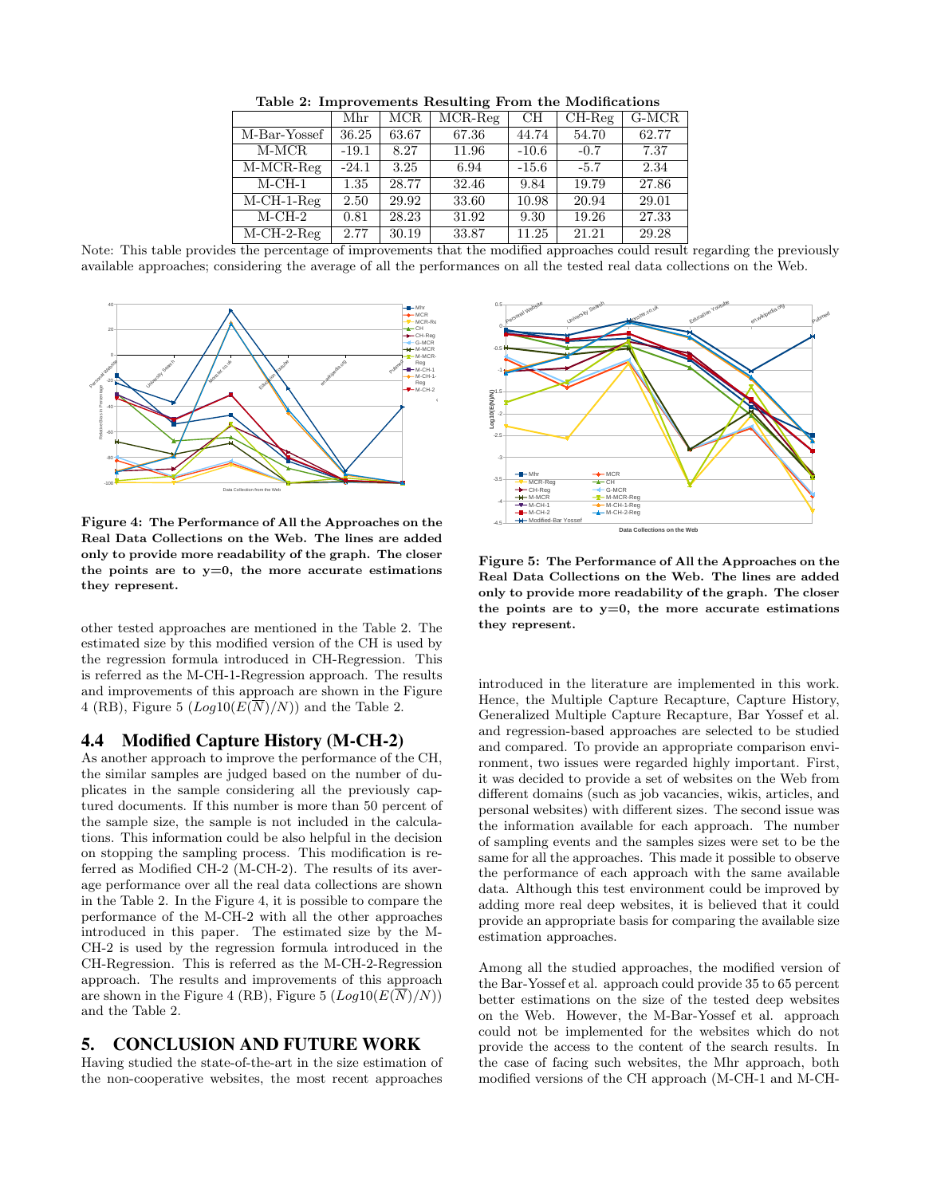|                        | Mhr      | MCR.  | $\overline{\text{MCR-Reg}}$ | CН      | $CH-Reg$ | $G-MCR$ |
|------------------------|----------|-------|-----------------------------|---------|----------|---------|
| M-Bar-Yossef           | 36.25    | 63.67 | 67.36                       | 44.74   | 54.70    | 62.77   |
| M-MCR                  | $-19.1$  | 8.27  | 11.96                       | $-10.6$ | $-0.7$   | 7.37    |
| M-MCR-Reg              | $-24.1$  | 3.25  | 6.94                        | $-15.6$ | $-5.7$   | 2.34    |
| $M$ -CH-1              | $1.35\,$ | 28.77 | 32.46                       | 9.84    | 19.79    | 27.86   |
| $M-CH-1-Reg$           | 2.50     | 29.92 | 33.60                       | 10.98   | 20.94    | 29.01   |
| $M\text{-}CH\text{-}2$ | 0.81     | 28.23 | 31.92                       | 9.30    | 19.26    | 27.33   |
| $M-CH-2-Reg$           | 2.77     | 30.19 | 33.87                       | 11.25   | 21.21    | 29.28   |

Table 2: Improvements Resulting From the Modifications

Note: This table provides the percentage of improvements that the modified approaches could result regarding the previously available approaches; considering the average of all the performances on all the tested real data collections on the Web.



Figure 4: The Performance of All the Approaches on the Real Data Collections on the Web. The lines are added only to provide more readability of the graph. The closer the points are to  $y=0$ , the more accurate estimations they represent.

other tested approaches are mentioned in the Table 2. The estimated size by this modified version of the CH is used by the regression formula introduced in CH-Regression. This is referred as the M-CH-1-Regression approach. The results and improvements of this approach are shown in the Figure 4 (RB), Figure 5 ( $Log10(E(N)/N)$ ) and the Table 2.

#### 4.4 Modified Capture History (M-CH-2)

the sample size, the sample is not included in the calcula-As another approach to improve the performance of the CH, the similar samples are judged based on the number of duplicates in the sample considering all the previously captured documents. If this number is more than 50 percent of tions. This information could be also helpful in the decision on stopping the sampling process. This modification is referred as Modified CH-2 (M-CH-2). The results of its average performance over all the real data collections are shown in the Table 2. In the Figure 4, it is possible to compare the performance of the M-CH-2 with all the other approaches introduced in this paper. The estimated size by the M-CH-2 is used by the regression formula introduced in the CH-Regression. This is referred as the M-CH-2-Regression approach. The results and improvements of this approach are shown in the Figure 4 (RB), Figure 5  $(Log10(E(\overline{N})/N))$ and the Table 2.

## 5. CONCLUSION AND FUTURE WORK

Having studied the state-of-the-art in the size estimation of the non-cooperative websites, the most recent approaches



Figure 5: The Performance of All the Approaches on the Real Data Collections on the Web. The lines are added only to provide more readability of the graph. The closer the points are to  $y=0$ , the more accurate estimations they represent.

the information available for each approach. The number introduced in the literature are implemented in this work. Hence, the Multiple Capture Recapture, Capture History, Generalized Multiple Capture Recapture, Bar Yossef et al. and regression-based approaches are selected to be studied and compared. To provide an appropriate comparison environment, two issues were regarded highly important. First, it was decided to provide a set of websites on the Web from different domains (such as job vacancies, wikis, articles, and personal websites) with different sizes. The second issue was of sampling events and the samples sizes were set to be the same for all the approaches. This made it possible to observe the performance of each approach with the same available data. Although this test environment could be improved by adding more real deep websites, it is believed that it could provide an appropriate basis for comparing the available size estimation approaches.

Among all the studied approaches, the modified version of the Bar-Yossef et al. approach could provide 35 to 65 percent better estimations on the size of the tested deep websites on the Web. However, the M-Bar-Yossef et al. approach could not be implemented for the websites which do not provide the access to the content of the search results. In the case of facing such websites, the Mhr approach, both modified versions of the CH approach (M-CH-1 and M-CH-